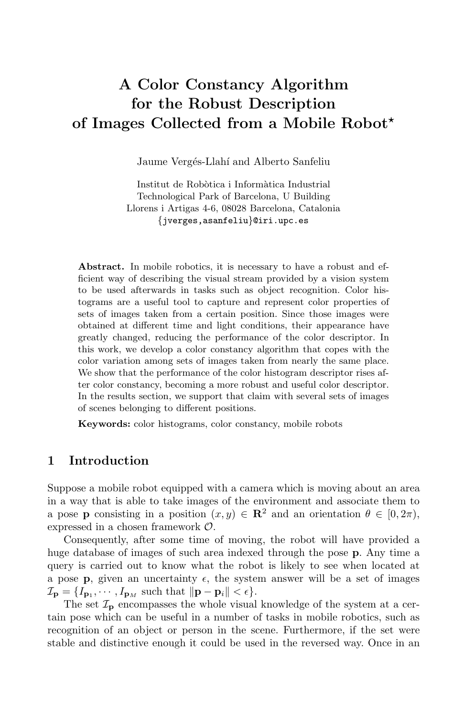# **A Color Constancy Algorithm for the Robust Description of Images Collected from a Mobile Robot**

Jaume Vergés-Llahí and Alberto Sanfeliu

Institut de Robòtica i Informàtica Industrial Technological Park of Barcelona, U Building Llorens i Artigas 4-6, 08028 Barcelona, Catalonia *{*jverges,asanfeliu*}*@iri.upc.es

**Abstract.** In mobile robotics, it is necessary to have a robust and efficient way of describing the visual stream provided by a vision system to be used afterwards in tasks such as object recognition. Color histograms are a useful tool to capture and represent color properties of sets of images taken from a certain position. Since those images were obtained at different time and light conditions, their appearance have greatly changed, reducing the performance of the color descriptor. In this work, we develop a color constancy algorithm that copes with the color variation among sets of images taken from nearly the same place. We show that the performance of the color histogram descriptor rises after color constancy, becoming a more robust and useful color descriptor. In the results section, we support that claim with several sets of images of scenes belonging to different positions.

**Keywords:** color histograms, color constancy, mobile robots

## **1 Introduction**

Suppose a mobile robot equipped with a camera which is moving about an area in a way that is able to take images of the environment and associate them to a pose **p** consisting in a position  $(x, y) \in \mathbb{R}^2$  and an orientation  $\theta \in [0, 2\pi)$ , expressed in a chosen framework O.

Consequently, after some time of moving, the robot will have provided a huge database of images of such area indexed through the pose **p**. Any time a query is carried out to know what the robot is likely to see when located at a pose **p**, given an uncertainty  $\epsilon$ , the system answer will be a set of images  $\mathcal{I}_{\mathbf{p}} = \{I_{\mathbf{p}_1}, \cdots, I_{\mathbf{p}_M} \text{ such that } ||\mathbf{p} - \mathbf{p}_i|| < \epsilon\}.$ 

The set  $\mathcal{I}_p$  encompasses the whole visual knowledge of the system at a certain pose which can be useful in a number of tasks in mobile robotics, such as recognition of an object or person in the scene. Furthermore, if the set were stable and distinctive enough it could be used in the reversed way. Once in an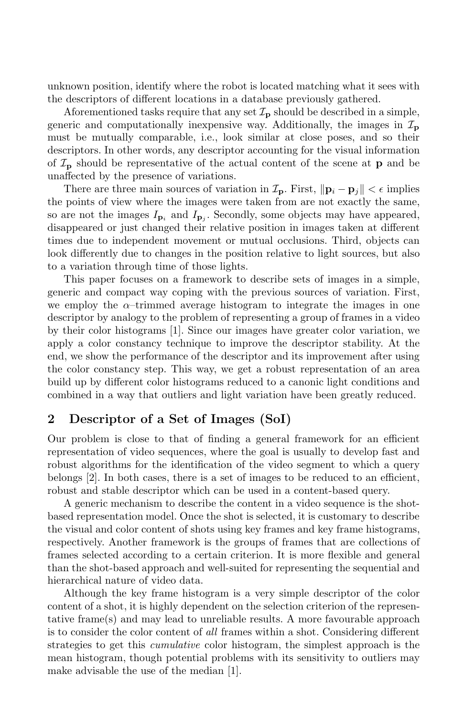unknown position, identify where the robot is located matching what it sees with the descriptors of different locations in a database previously gathered.

Aforementioned tasks require that any set  $\mathcal{I}_p$  should be described in a simple, generic and computationally inexpensive way. Additionally, the images in  $\mathcal{I}_p$ must be mutually comparable, i.e., look similar at close poses, and so their descriptors. In other words, any descriptor accounting for the visual information of  $\mathcal{I}_{\mathbf{p}}$  should be representative of the actual content of the scene at **p** and be unaffected by the presence of variations.

There are three main sources of variation in  $\mathcal{I}_{\mathbf{p}}$ . First,  $\|\mathbf{p}_i - \mathbf{p}_j\| < \epsilon$  implies the points of view where the images were taken from are not exactly the same, so are not the images  $I_{\mathbf{p}_i}$  and  $I_{\mathbf{p}_j}$ . Secondly, some objects may have appeared, disappeared or just changed their relative position in images taken at different times due to independent movement or mutual occlusions. Third, objects can look differently due to changes in the position relative to light sources, but also to a variation through time of those lights.

This paper focuses on a framework to describe sets of images in a simple, generic and compact way coping with the previous sources of variation. First, we employ the  $\alpha$ -trimmed average histogram to integrate the images in one descriptor by analogy to the problem of representing a group of frames in a video by their color histograms [1]. Since our images have greater color variation, we apply a color constancy technique to improve the descriptor stability. At the end, we show the performance of the descriptor and its improvement after using the color constancy step. This way, we get a robust representation of an area build up by different color histograms reduced to a canonic light conditions and combined in a way that outliers and light variation have been greatly reduced.

## **2 Descriptor of a Set of Images (SoI)**

Our problem is close to that of finding a general framework for an efficient representation of video sequences, where the goal is usually to develop fast and robust algorithms for the identification of the video segment to which a query belongs [2]. In both cases, there is a set of images to be reduced to an efficient, robust and stable descriptor which can be used in a content-based query.

A generic mechanism to describe the content in a video sequence is the shotbased representation model. Once the shot is selected, it is customary to describe the visual and color content of shots using key frames and key frame histograms, respectively. Another framework is the groups of frames that are collections of frames selected according to a certain criterion. It is more flexible and general than the shot-based approach and well-suited for representing the sequential and hierarchical nature of video data.

Although the key frame histogram is a very simple descriptor of the color content of a shot, it is highly dependent on the selection criterion of the representative frame(s) and may lead to unreliable results. A more favourable approach is to consider the color content of *all* frames within a shot. Considering different strategies to get this *cumulative* color histogram, the simplest approach is the mean histogram, though potential problems with its sensitivity to outliers may make advisable the use of the median [1].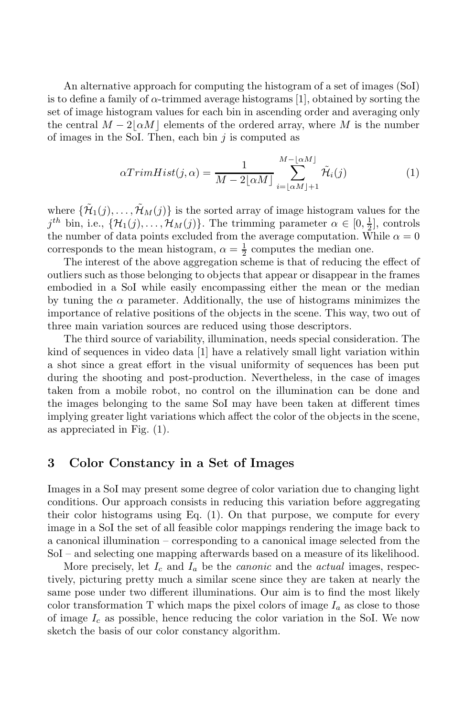An alternative approach for computing the histogram of a set of images (SoI) is to define a family of  $\alpha$ -trimmed average histograms [1], obtained by sorting the set of image histogram values for each bin in ascending order and averaging only the central  $M - 2|\alpha M|$  elements of the ordered array, where M is the number of images in the SoI. Then, each bin  $j$  is computed as

$$
\alpha TrimHist(j,\alpha) = \frac{1}{M - 2\lfloor \alpha M \rfloor} \sum_{i=\lfloor \alpha M \rfloor+1}^{M-\lfloor \alpha M \rfloor} \tilde{\mathcal{H}}_i(j) \tag{1}
$$

where  $\{\tilde{\mathcal{H}}_1(j),\ldots,\tilde{\mathcal{H}}_M(j)\}\$ is the sorted array of image histogram values for the  $j^{th}$  bin, i.e.,  $\{\mathcal{H}_1(j), \ldots, \mathcal{H}_M(j)\}\$ . The trimming parameter  $\alpha \in [0, \frac{1}{2}],$  controls the number of data points excluded from the average computation. While  $\alpha = 0$ corresponds to the mean histogram,  $\alpha = \frac{1}{2}$  computes the median one.

The interest of the above aggregation scheme is that of reducing the effect of outliers such as those belonging to objects that appear or disappear in the frames embodied in a SoI while easily encompassing either the mean or the median by tuning the  $\alpha$  parameter. Additionally, the use of histograms minimizes the importance of relative positions of the objects in the scene. This way, two out of three main variation sources are reduced using those descriptors.

The third source of variability, illumination, needs special consideration. The kind of sequences in video data [1] have a relatively small light variation within a shot since a great effort in the visual uniformity of sequences has been put during the shooting and post-production. Nevertheless, in the case of images taken from a mobile robot, no control on the illumination can be done and the images belonging to the same SoI may have been taken at different times implying greater light variations which affect the color of the objects in the scene, as appreciated in Fig. (1).

## **3 Color Constancy in a Set of Images**

Images in a SoI may present some degree of color variation due to changing light conditions. Our approach consists in reducing this variation before aggregating their color histograms using Eq. (1). On that purpose, we compute for every image in a SoI the set of all feasible color mappings rendering the image back to a canonical illumination – corresponding to a canonical image selected from the SoI – and selecting one mapping afterwards based on a measure of its likelihood.

More precisely, let  $I_c$  and  $I_a$  be the *canonic* and the *actual* images, respectively, picturing pretty much a similar scene since they are taken at nearly the same pose under two different illuminations. Our aim is to find the most likely color transformation T which maps the pixel colors of image  $I_a$  as close to those of image  $I_c$  as possible, hence reducing the color variation in the SoI. We now sketch the basis of our color constancy algorithm.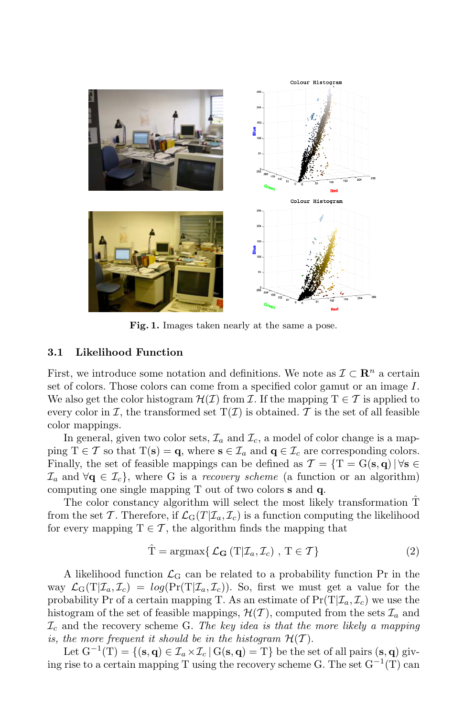

**Fig. 1.** Images taken nearly at the same a pose.

## **3.1 Likelihood Function**

First, we introduce some notation and definitions. We note as  $\mathcal{I} \subset \mathbb{R}^n$  a certain set of colors. Those colors can come from a specified color gamut or an image I. We also get the color histogram  $\mathcal{H}(\mathcal{I})$  from *I*. If the mapping  $T \in \mathcal{I}$  is applied to every color in  $\mathcal I$ , the transformed set  $T(\mathcal I)$  is obtained.  $\mathcal I$  is the set of all feasible color mappings.

In general, given two color sets,  $\mathcal{I}_a$  and  $\mathcal{I}_c$ , a model of color change is a mapping T  $\in \mathcal{T}$  so that  $T(\mathbf{s}) = \mathbf{q}$ , where  $\mathbf{s} \in \mathcal{I}_a$  and  $\mathbf{q} \in \mathcal{I}_c$  are corresponding colors. Finally, the set of feasible mappings can be defined as  $\mathcal{T} = \{T = G(s, q) | \forall s \in \mathcal{F} \}$  $\mathcal{I}_a$  and  $\forall \mathbf{q} \in \mathcal{I}_c$ , where G is a *recovery scheme* (a function or an algorithm) computing one single mapping T out of two colors **s** and **q**.

The color constancy algorithm will select the most likely transformation  $T$ from the set T. Therefore, if  $\mathcal{L}_{G}(T | \mathcal{I}_{a}, \mathcal{I}_{c})$  is a function computing the likelihood for every mapping  $T \in \mathcal{T}$ , the algorithm finds the mapping that

$$
\hat{\mathbf{T}} = \operatorname{argmax} \{ \mathcal{L}_{\mathbf{G}} \left( \mathbf{T} | \mathcal{I}_a, \mathcal{I}_c \right), \mathbf{T} \in \mathcal{T} \}
$$
\n(2)

A likelihood function  $\mathcal{L}_G$  can be related to a probability function Pr in the way  $\mathcal{L}_{G}(T|\mathcal{I}_{a}, \mathcal{I}_{c}) = log(Pr(T|\mathcal{I}_{a}, \mathcal{I}_{c}))$ . So, first we must get a value for the probability Pr of a certain mapping T. As an estimate of  $Pr(T|\mathcal{I}_a, \mathcal{I}_c)$  we use the histogram of the set of feasible mappings,  $\mathcal{H}(\mathcal{T})$ , computed from the sets  $\mathcal{I}_a$  and  $\mathcal{I}_c$  and the recovery scheme G. The key idea is that the more likely a mapping *is, the more frequent it should be in the histogram*  $H(T)$ .

Let  $G^{-1}(T) = \{(\mathbf{s}, \mathbf{q}) \in \mathcal{I}_a \times \mathcal{I}_c | G(\mathbf{s}, \mathbf{q}) = T\}$  be the set of all pairs  $(\mathbf{s}, \mathbf{q})$  giving rise to a certain mapping T using the recovery scheme G. The set  $G^{-1}(T)$  can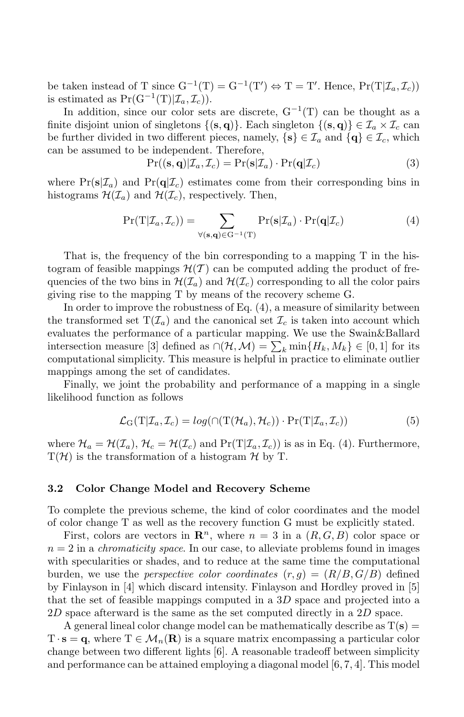be taken instead of T since  $G^{-1}(T) = G^{-1}(T') \Leftrightarrow T = T'$ . Hence,  $Pr(T|\mathcal{I}_a, \mathcal{I}_c)$ is estimated as  $Pr(G^{-1}(T)|\mathcal{I}_a, \mathcal{I}_c))$ .

In addition, since our color sets are discrete,  $G^{-1}(T)$  can be thought as a finite disjoint union of singletons  $\{(\mathbf{s}, \mathbf{q})\}$ . Each singleton  $\{(\mathbf{s}, \mathbf{q})\} \in \mathcal{I}_a \times \mathcal{I}_c$  can be further divided in two different pieces, namely,  $\{s\} \in \mathcal{I}_a$  and  $\{q\} \in \mathcal{I}_c$ , which can be assumed to be independent. Therefore,

$$
Pr((s, q)|\mathcal{I}_a, \mathcal{I}_c) = Pr(s|\mathcal{I}_a) \cdot Pr(q|\mathcal{I}_c)
$$
\n(3)

where  $Pr(s|\mathcal{I}_a)$  and  $Pr(q|\mathcal{I}_c)$  estimates come from their corresponding bins in histograms  $\mathcal{H}(\mathcal{I}_a)$  and  $\mathcal{H}(\mathcal{I}_c)$ , respectively. Then,

$$
Pr(T|\mathcal{I}_a, \mathcal{I}_c)) = \sum_{\forall (\mathbf{s}, \mathbf{q}) \in G^{-1}(T)} Pr(\mathbf{s}|\mathcal{I}_a) \cdot Pr(\mathbf{q}|\mathcal{I}_c)
$$
(4)

That is, the frequency of the bin corresponding to a mapping T in the histogram of feasible mappings  $\mathcal{H}(\mathcal{T})$  can be computed adding the product of frequencies of the two bins in  $\mathcal{H}(\mathcal{I}_a)$  and  $\mathcal{H}(\mathcal{I}_c)$  corresponding to all the color pairs giving rise to the mapping T by means of the recovery scheme G.

In order to improve the robustness of Eq. (4), a measure of similarity between the transformed set  $T(\mathcal{I}_a)$  and the canonical set  $\mathcal{I}_c$  is taken into account which evaluates the performance of a particular mapping. We use the Swain&Ballard intersection measure [3] defined as  $\cap(\mathcal{H},\mathcal{M}) = \sum_{k} \min\{H_k, M_k\} \in [0,1]$  for its computational simplicity. This measure is helpful in practice to eliminate outlier mappings among the set of candidates.

Finally, we joint the probability and performance of a mapping in a single likelihood function as follows

$$
\mathcal{L}_{\mathcal{G}}(\mathcal{T}|\mathcal{I}_a, \mathcal{I}_c) = \log(\cap(\mathcal{T}(\mathcal{H}_a), \mathcal{H}_c)) \cdot \Pr(\mathcal{T}|\mathcal{I}_a, \mathcal{I}_c))
$$
(5)

where  $\mathcal{H}_a = \mathcal{H}(\mathcal{I}_a), \mathcal{H}_c = \mathcal{H}(\mathcal{I}_c)$  and  $\Pr(\mathrm{T}|\mathcal{I}_a, \mathcal{I}_c)$  is as in Eq. (4). Furthermore,  $T(\mathcal{H})$  is the transformation of a histogram  $\mathcal{H}$  by T.

#### **3.2 Color Change Model and Recovery Scheme**

To complete the previous scheme, the kind of color coordinates and the model of color change T as well as the recovery function G must be explicitly stated.

First, colors are vectors in  $\mathbb{R}^n$ , where  $n = 3$  in a  $(R, G, B)$  color space or n = 2 in a *chromaticity space*. In our case, to alleviate problems found in images with specularities or shades, and to reduce at the same time the computational burden, we use the *perspective color coordinates*  $(r, g) = (R/B, G/B)$  defined by Finlayson in [4] which discard intensity. Finlayson and Hordley proved in [5] that the set of feasible mappings computed in a  $3D$  space and projected into a 2D space afterward is the same as the set computed directly in a 2D space.

A general lineal color change model can be mathematically describe as  $T(s)$  =  $T \cdot s = q$ , where  $T \in M_n(R)$  is a square matrix encompassing a particular color change between two different lights [6]. A reasonable tradeoff between simplicity and performance can be attained employing a diagonal model [6, 7, 4]. This model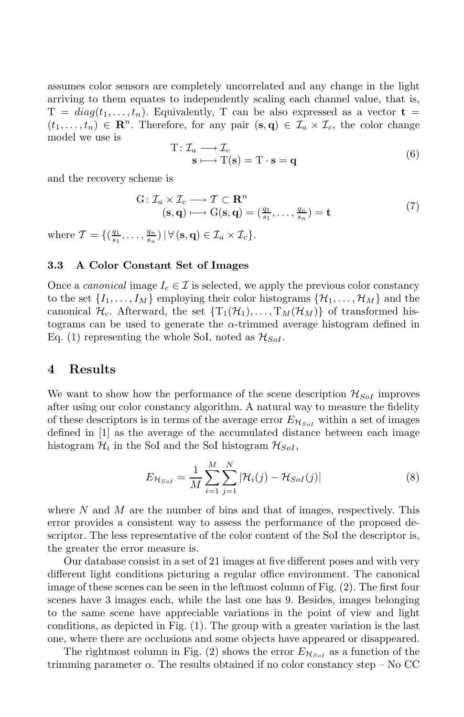assumes color sensors are completely uncorrelated and any change in the light arriving to them equates to independently scaling each channel value, that is,  $T = diag(t_1, \ldots, t_n)$ . Equivalently, T can be also expressed as a vector  $\mathbf{t} =$  $(t_1,...,t_n) \in \mathbb{R}^n$ . Therefore, for any pair  $(\mathbf{s}, \mathbf{q}) \in \mathcal{I}_a \times \mathcal{I}_c$ , the color change model we use is

$$
T: \mathcal{I}_a \longrightarrow \mathcal{I}_c\n\mathbf{s} \longmapsto T(\mathbf{s}) = T \cdot \mathbf{s} = \mathbf{q}
$$
\n(6)

and the recovery scheme is

$$
\mathbf{G} : \mathcal{I}_a \times \mathcal{I}_c \longrightarrow \mathcal{T} \subset \mathbf{R}^n
$$
  
\n
$$
(\mathbf{s}, \mathbf{q}) \longmapsto \mathbf{G}(\mathbf{s}, \mathbf{q}) = (\frac{q_1}{s_1}, \dots, \frac{q_n}{s_n}) = \mathbf{t}
$$
\n(7)

where  $\mathcal{T} = \{(\frac{q_1}{s_1}, \ldots, \frac{q_n}{s_n}) | \forall (\mathbf{s}, \mathbf{q}) \in \mathcal{I}_a \times \mathcal{I}_c \}.$ 

#### **3.3 A Color Constant Set of Images**

Once a *canonical* image  $I_c \in \mathcal{I}$  is selected, we apply the previous color constancy to the set  $\{I_1,\ldots,I_M\}$  employing their color histograms  $\{\mathcal{H}_1,\ldots,\mathcal{H}_M\}$  and the canonical  $\mathcal{H}_c$ . Afterward, the set  $\{T_1(\mathcal{H}_1),...,T_M(\mathcal{H}_M)\}\$  of transformed histograms can be used to generate the  $\alpha$ -trimmed average histogram defined in Eq. (1) representing the whole SoI, noted as  $\mathcal{H}_{Sol}$ .

## **4 Results**

We want to show how the performance of the scene description  $\mathcal{H}_{Sol}$  improves after using our color constancy algorithm. A natural way to measure the fidelity of these descriptors is in terms of the average error  $E_{H_{Sol}}$  within a set of images defined in [1] as the average of the accumulated distance between each image histogram  $\mathcal{H}_i$  in the SoI and the SoI histogram  $\mathcal{H}_{Sol}$ .

$$
E_{\mathcal{H}_{Sol}} = \frac{1}{M} \sum_{i=1}^{M} \sum_{j=1}^{N} |\mathcal{H}_i(j) - \mathcal{H}_{Sol}(j)|
$$
 (8)

where N and M are the number of bins and that of images, respectively. This error provides a consistent way to assess the performance of the proposed descriptor. The less representative of the color content of the SoI the descriptor is, the greater the error measure is.

Our database consist in a set of 21 images at five different poses and with very different light conditions picturing a regular office environment. The canonical image of these scenes can be seen in the leftmost column of Fig. (2). The first four scenes have 3 images each, while the last one has 9. Besides, images belonging to the same scene have appreciable variations in the point of view and light conditions, as depicted in Fig. (1). The group with a greater variation is the last one, where there are occlusions and some objects have appeared or disappeared.

The rightmost column in Fig. (2) shows the error  $E_{\mathcal{H}_{Sol}}$  as a function of the trimming parameter  $\alpha$ . The results obtained if no color constancy step – No CC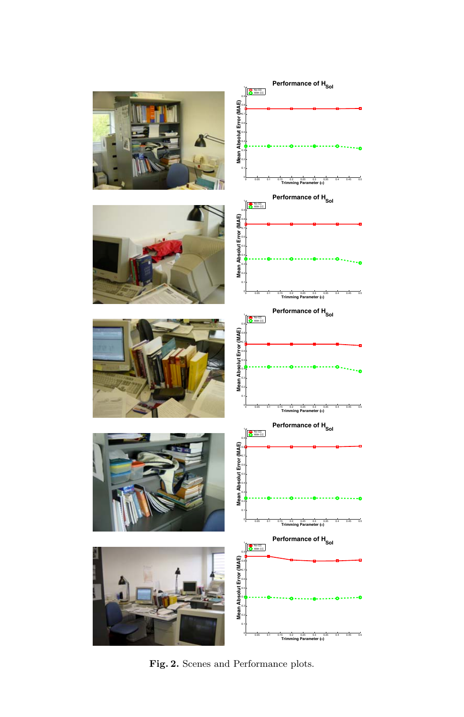

**Fig. 2.** Scenes and Performance plots.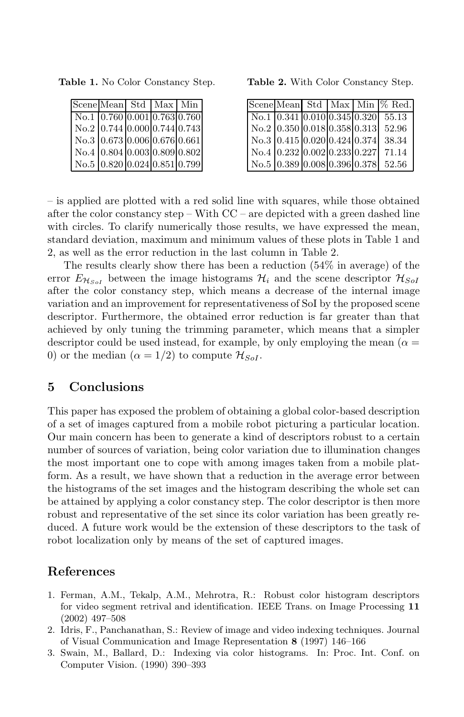**Table 1.** No Color Constancy Step.

| Scene Mean Std   Max   Min   |                              |  |  |
|------------------------------|------------------------------|--|--|
| No.1 0.760 0.001 0.763 0.760 |                              |  |  |
|                              | No.2 0.744 0.000 0.744 0.743 |  |  |
|                              | No.3 0.673 0.006 0.676 0.661 |  |  |
|                              | No.4 0.804 0.003 0.809 0.802 |  |  |
|                              | No.5 0.820 0.024 0.851 0.799 |  |  |

**Table 2.** With Color Constancy Step.

|                              |                              |  | Scene Mean Std Max Min % Red. |
|------------------------------|------------------------------|--|-------------------------------|
| No.1 0.341 0.010 0.345 0.320 |                              |  | 55.13                         |
| No.2 0.350 0.018 0.358 0.313 |                              |  | 52.96                         |
| No.3 0.415 0.020 0.424 0.374 |                              |  | 38.34                         |
|                              | No.4 0.232 0.002 0.233 0.227 |  | 71.14                         |
| No.5 0.389 0.008 0.396 0.378 |                              |  | 52.56                         |

– is applied are plotted with a red solid line with squares, while those obtained after the color constancy step – With  $CC$  – are depicted with a green dashed line with circles. To clarify numerically those results, we have expressed the mean, standard deviation, maximum and minimum values of these plots in Table 1 and 2, as well as the error reduction in the last column in Table 2.

The results clearly show there has been a reduction (54% in average) of the error  $E_{\mathcal{H}_{Sol}}$  between the image histograms  $\mathcal{H}_i$  and the scene descriptor  $\mathcal{H}_{Sol}$ after the color constancy step, which means a decrease of the internal image variation and an improvement for representativeness of SoI by the proposed scene descriptor. Furthermore, the obtained error reduction is far greater than that achieved by only tuning the trimming parameter, which means that a simpler descriptor could be used instead, for example, by only employing the mean  $(\alpha =$ 0) or the median  $(\alpha = 1/2)$  to compute  $\mathcal{H}_{Sol}$ .

# **5 Conclusions**

This paper has exposed the problem of obtaining a global color-based description of a set of images captured from a mobile robot picturing a particular location. Our main concern has been to generate a kind of descriptors robust to a certain number of sources of variation, being color variation due to illumination changes the most important one to cope with among images taken from a mobile platform. As a result, we have shown that a reduction in the average error between the histograms of the set images and the histogram describing the whole set can be attained by applying a color constancy step. The color descriptor is then more robust and representative of the set since its color variation has been greatly reduced. A future work would be the extension of these descriptors to the task of robot localization only by means of the set of captured images.

## **References**

- 1. Ferman, A.M., Tekalp, A.M., Mehrotra, R.: Robust color histogram descriptors for video segment retrival and identification. IEEE Trans. on Image Processing **11** (2002) 497–508
- 2. Idris, F., Panchanathan, S.: Review of image and video indexing techniques. Journal of Visual Communication and Image Representation **8** (1997) 146–166
- 3. Swain, M., Ballard, D.: Indexing via color histograms. In: Proc. Int. Conf. on Computer Vision. (1990) 390–393